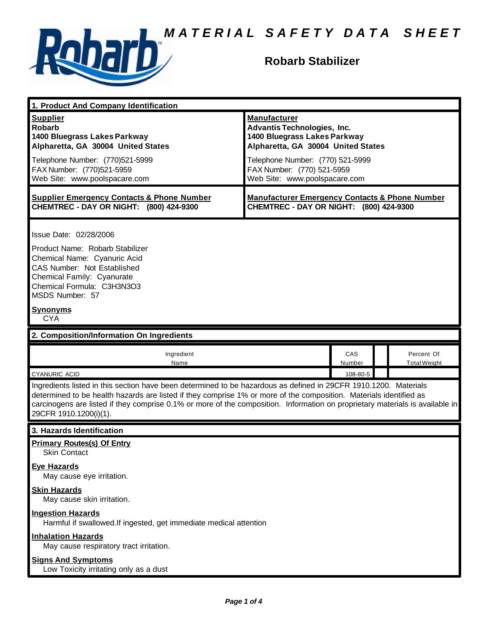

## **Robarb Stabilizer**

| 1. Product And Company Identification                                                                                                                                                                                                                                                                                                                                                             |                                                                                                                                 |          |  |                     |
|---------------------------------------------------------------------------------------------------------------------------------------------------------------------------------------------------------------------------------------------------------------------------------------------------------------------------------------------------------------------------------------------------|---------------------------------------------------------------------------------------------------------------------------------|----------|--|---------------------|
| <b>Supplier</b><br><b>Robarb</b><br>1400 Bluegrass Lakes Parkway<br>Alpharetta, GA 30004 United States                                                                                                                                                                                                                                                                                            | <b>Manufacturer</b><br><b>Advantis Technologies, Inc.</b><br>1400 Bluegrass Lakes Parkway<br>Alpharetta, GA 30004 United States |          |  |                     |
| Telephone Number: (770)521-5999<br>FAX Number: (770)521-5959<br>Web Site: www.poolspacare.com                                                                                                                                                                                                                                                                                                     | Telephone Number: (770) 521-5999<br>FAX Number: (770) 521-5959<br>Web Site: www.poolspacare.com                                 |          |  |                     |
| <b>Supplier Emergency Contacts &amp; Phone Number</b><br>CHEMTREC - DAY OR NIGHT: (800) 424-9300                                                                                                                                                                                                                                                                                                  | <b>Manufacturer Emergency Contacts &amp; Phone Number</b><br>CHEMTREC - DAY OR NIGHT: (800) 424-9300                            |          |  |                     |
| Issue Date: 02/28/2006<br>Product Name: Robarb Stabilizer<br>Chemical Name: Cyanuric Acid<br>CAS Number: Not Established<br>Chemical Family: Cyanurate<br>Chemical Formula: C3H3N3O3<br>MSDS Number: 57<br><b>Synonyms</b><br><b>CYA</b>                                                                                                                                                          |                                                                                                                                 |          |  |                     |
| 2. Composition/Information On Ingredients                                                                                                                                                                                                                                                                                                                                                         |                                                                                                                                 |          |  |                     |
| Ingredient<br>Name                                                                                                                                                                                                                                                                                                                                                                                |                                                                                                                                 | CAS      |  | Percent Of          |
|                                                                                                                                                                                                                                                                                                                                                                                                   |                                                                                                                                 | Number   |  | <b>Total Weight</b> |
| <b>CYANURIC ACID</b>                                                                                                                                                                                                                                                                                                                                                                              |                                                                                                                                 | 108-80-5 |  |                     |
| Ingredients listed in this section have been determined to be hazardous as defined in 29CFR 1910.1200. Materials<br>determined to be health hazards are listed if they comprise 1% or more of the composition. Materials identified as<br>carcinogens are listed if they comprise 0.1% or more of the composition. Information on proprietary materials is available in<br>29CFR 1910.1200(i)(1). |                                                                                                                                 |          |  |                     |
| 3. Hazards Identification                                                                                                                                                                                                                                                                                                                                                                         |                                                                                                                                 |          |  |                     |
| <b>Primary Routes(s) Of Entry</b><br><b>Skin Contact</b>                                                                                                                                                                                                                                                                                                                                          |                                                                                                                                 |          |  |                     |
| <b>Eye Hazards</b><br>May cause eye irritation.                                                                                                                                                                                                                                                                                                                                                   |                                                                                                                                 |          |  |                     |
| <b>Skin Hazards</b><br>May cause skin irritation.                                                                                                                                                                                                                                                                                                                                                 |                                                                                                                                 |          |  |                     |
| <b>Ingestion Hazards</b><br>Harmful if swallowed. If ingested, get immediate medical attention                                                                                                                                                                                                                                                                                                    |                                                                                                                                 |          |  |                     |
| <b>Inhalation Hazards</b><br>May cause respiratory tract irritation.                                                                                                                                                                                                                                                                                                                              |                                                                                                                                 |          |  |                     |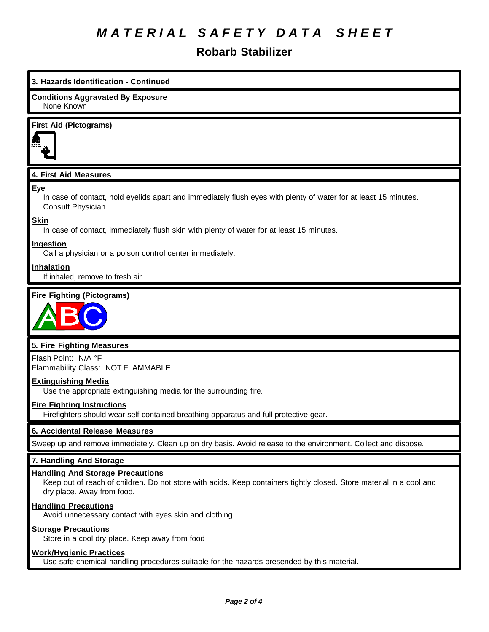## *M A T E R I A L S A F E T Y D A T A S H E E T*

### **Robarb Stabilizer**

| 3. Hazards Identification - Continued                                                                                                               |  |  |  |  |
|-----------------------------------------------------------------------------------------------------------------------------------------------------|--|--|--|--|
| <b>Conditions Aggravated By Exposure</b><br>None Known                                                                                              |  |  |  |  |
| <b>First Aid (Pictograms)</b>                                                                                                                       |  |  |  |  |
| 4. First Aid Measures                                                                                                                               |  |  |  |  |
| <u>Eye</u><br>In case of contact, hold eyelids apart and immediately flush eyes with plenty of water for at least 15 minutes.<br>Consult Physician. |  |  |  |  |
| Skin<br>In case of contact, immediately flush skin with plenty of water for at least 15 minutes.                                                    |  |  |  |  |
| Ingestion<br>Call a physician or a poison control center immediately.                                                                               |  |  |  |  |
| <b>Inhalation</b><br>If inhaled, remove to fresh air.                                                                                               |  |  |  |  |
| <b>Fire Fighting (Pictograms)</b>                                                                                                                   |  |  |  |  |
| 5. Fire Fighting Measures                                                                                                                           |  |  |  |  |
| Flash Point: N/A °F<br>Flammability Class: NOT FLAMMABLE                                                                                            |  |  |  |  |
| <b>Extinguishing Media</b><br>Use the appropriate extinguishing media for the surrounding fire.                                                     |  |  |  |  |
| <b>Fire Fighting Instructions</b><br>Firefighters should wear self-contained breathing apparatus and full protective gear.                          |  |  |  |  |

#### **6. Accidental Release Measures**

Sweep up and remove immediately. Clean up on dry basis. Avoid release to the environment. Collect and dispose.

#### **7. Handling And Storage**

#### **Handling And Storage Precautions**

Keep out of reach of children. Do not store with acids. Keep containers tightly closed. Store material in a cool and dry place. Away from food.

#### **Handling Precautions**

Avoid unnecessary contact with eyes skin and clothing.

#### **Storage Precautions**

Store in a cool dry place. Keep away from food

#### **Work/Hygienic Practices**

Use safe chemical handling procedures suitable for the hazards presended by this material.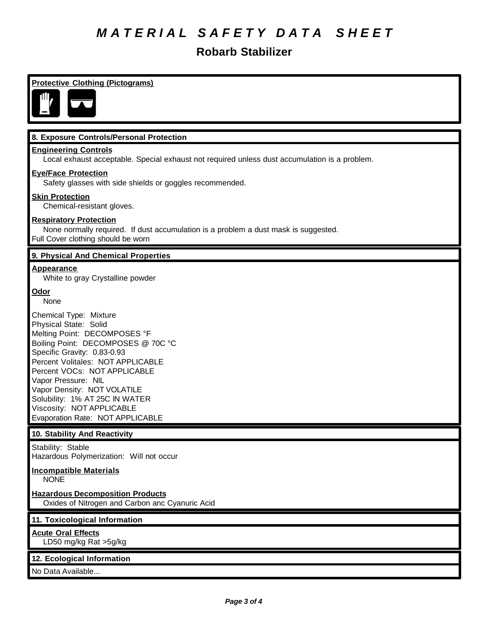## *M A T E R I A L S A F E T Y D A T A S H E E T*

### **Robarb Stabilizer**

### **Protective Clothing (Pictograms) 8. Exposure Controls/Personal Protection Engineering Controls** Local exhaust acceptable. Special exhaust not required unless dust accumulation is a problem. **Eye/Face Protection** Safety glasses with side shields or goggles recommended. **Skin Protection** Chemical-resistant gloves. **Respiratory Protection** None normally required. If dust accumulation is a problem a dust mask is suggested. Full Cover clothing should be worn **9. Physical And Chemical Properties Appearance** White to gray Crystalline powder **Odor** None Chemical Type: Mixture Physical State: Solid Melting Point: DECOMPOSES °F Boiling Point: DECOMPOSES @ 70C °C Specific Gravity: 0.83-0.93 Percent Volitales: NOT APPLICABLE Percent VOCs: NOT APPLICABLE Vapor Pressure: NIL Vapor Density: NOT VOLATILE Solubility: 1% AT 25C IN WATER Viscosity: NOT APPLICABLE Evaporation Rate: NOT APPLICABLE **10. Stability And Reactivity** Stability: Stable Hazardous Polymerization: Will not occur **Incompatible Materials NONE Hazardous Decomposition Products** Oxides of Nitrogen and Carbon anc Cyanuric Acid **11. Toxicological Information Acute Oral Effects** LD50 mg/kg Rat >5g/kg **12. Ecological Information** No Data Available...